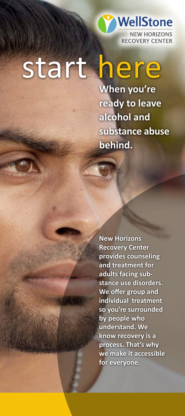

# start here

**When you're ready to leave alcohol and substance abuse behind.**

**New Horizons Recovery Center provides counseling and treatment for adults facing substance use disorders. We offer group and individual treatment so you're surrounded by people who understand. We know recovery is a process. That's why we make it accessible for everyone.**